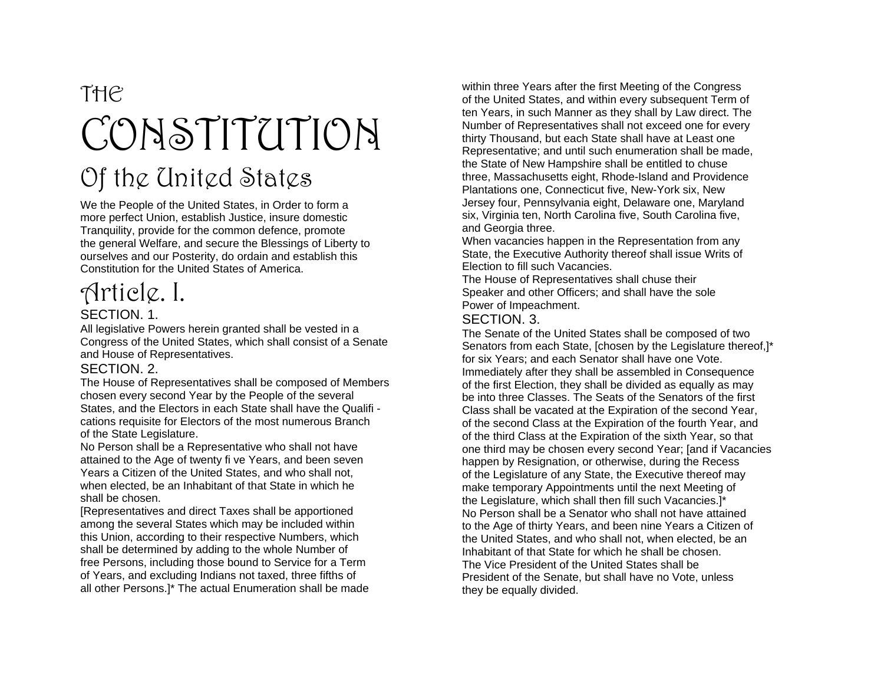# THE CONSTITUTION Of the United States

 We the People of the United States, in Order to form a more perfect Union, establish Justice, insure domestic Tranquility, provide for the common defence, promote the general Welfare, and secure the Blessings of Liberty to ourselves and our Posterity, do ordain and establish this Constitution for the United States of America.

### Article. I. SECTION. 1.

All legislative Powers herein granted shall be vested in a Congress of the United States, which shall consist of a Senate and House of Representatives.

#### SECTION. 2.

The House of Representatives shall be composed of Members chosen every second Year by the People of the several States, and the Electors in each State shall have the Qualifi cations requisite for Electors of the most numerous Branch of the State Legislature.

No Person shall be a Representative who shall not have attained to the Age of twenty fi ve Years, and been seven Years a Citizen of the United States, and who shall not, when elected, be an Inhabitant of that State in which he shall be chosen.

[Representatives and direct Taxes shall be apportioned among the several States which may be included within this Union, according to their respective Numbers, which shall be determined by adding to the whole Number of free Persons, including those bound to Service for a Term of Years, and excluding Indians not taxed, three fifths of all other Persons.]\* The actual Enumeration shall be made within three Years after the first Meeting of the Congress of the United States, and within every subsequent Term of ten Years, in such Manner as they shall by Law direct. The Number of Representatives shall not exceed one for every thirty Thousand, but each State shall have at Least one Representative; and until such enumeration shall be made, the State of New Hampshire shall be entitled to chuse three, Massachusetts eight, Rhode-Island and Providence Plantations one, Connecticut five, New-York six, New Jersey four, Pennsylvania eight, Delaware one, Maryland six, Virginia ten, North Carolina five, South Carolina five, and Georgia three.

When vacancies happen in the Representation from any State, the Executive Authority thereof shall issue Writs of Election to fill such Vacancies.

The House of Representatives shall chuse their Speaker and other Officers; and shall have the sole Power of Impeachment.

#### SECTION. 3.

The Senate of the United States shall be composed of two Senators from each State, [chosen by the Legislature thereof,]\* for six Years; and each Senator shall have one Vote. Immediately after they shall be assembled in Consequence of the first Election, they shall be divided as equally as may be into three Classes. The Seats of the Senators of the first Class shall be vacated at the Expiration of the second Year, of the second Class at the Expiration of the fourth Year, and of the third Class at the Expiration of the sixth Year, so that one third may be chosen every second Year; [and if Vacancies happen by Resignation, or otherwise, during the Recess of the Legislature of any State, the Executive thereof may make temporary Appointments until the next Meeting of the Legislature, which shall then fill such Vacancies.]\* No Person shall be a Senator who shall not have attained to the Age of thirty Years, and been nine Years a Citizen of the United States, and who shall not, when elected, be an Inhabitant of that State for which he shall be chosen. The Vice President of the United States shall be President of the Senate, but shall have no Vote, unless they be equally divided.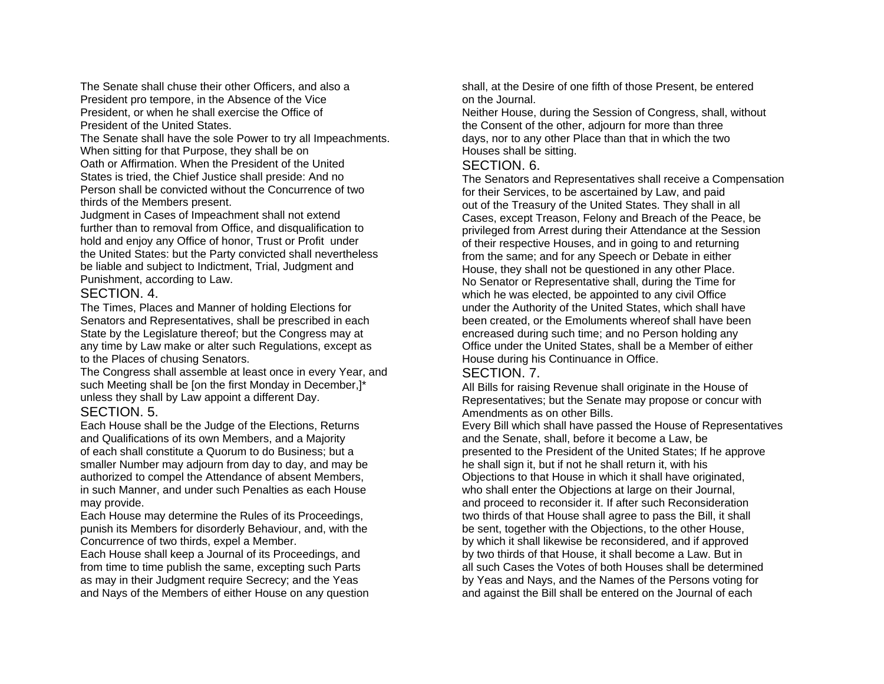The Senate shall chuse their other Officers, and also a President pro tempore, in the Absence of the Vice President, or when he shall exercise the Office of President of the United States.

The Senate shall have the sole Power to try all Impeachments. When sitting for that Purpose, they shall be on Oath or Affirmation. When the President of the United States is tried, the Chief Justice shall preside: And no Person shall be convicted without the Concurrence of two thirds of the Members present.

Judgment in Cases of Impeachment shall not extend further than to removal from Office, and disqualification to hold and enjoy any Office of honor, Trust or Profit under the United States: but the Party convicted shall nevertheless be liable and subject to Indictment, Trial, Judgment and Punishment, according to Law.

#### SECTION. 4.

The Times, Places and Manner of holding Elections for Senators and Representatives, shall be prescribed in each State by the Legislature thereof; but the Congress may at any time by Law make or alter such Regulations, except as to the Places of chusing Senators.

The Congress shall assemble at least once in every Year, and such Meeting shall be [on the first Monday in December,]\* unless they shall by Law appoint a different Day.

#### SECTION. 5.

Each House shall be the Judge of the Elections, Returns and Qualifications of its own Members, and a Majority of each shall constitute a Quorum to do Business; but a smaller Number may adjourn from day to day, and may be authorized to compel the Attendance of absent Members, in such Manner, and under such Penalties as each House may provide.

Each House may determine the Rules of its Proceedings, punish its Members for disorderly Behaviour, and, with the Concurrence of two thirds, expel a Member.

Each House shall keep a Journal of its Proceedings, and from time to time publish the same, excepting such Parts as may in their Judgment require Secrecy; and the Yeas and Nays of the Members of either House on any question shall, at the Desire of one fifth of those Present, be entered on the Journal.

Neither House, during the Session of Congress, shall, without the Consent of the other, adjourn for more than three days, nor to any other Place than that in which the two Houses shall be sitting.

#### SECTION. 6.

The Senators and Representatives shall receive a Compensation for their Services, to be ascertained by Law, and paid out of the Treasury of the United States. They shall in all Cases, except Treason, Felony and Breach of the Peace, be privileged from Arrest during their Attendance at the Session of their respective Houses, and in going to and returning from the same; and for any Speech or Debate in either House, they shall not be questioned in any other Place. No Senator or Representative shall, during the Time for which he was elected, be appointed to any civil Office under the Authority of the United States, which shall have been created, or the Emoluments whereof shall have been encreased during such time; and no Person holding any Office under the United States, shall be a Member of either House during his Continuance in Office.

#### SECTION. 7.

All Bills for raising Revenue shall originate in the House of Representatives; but the Senate may propose or concur with Amendments as on other Bills.

Every Bill which shall have passed the House of Representatives and the Senate, shall, before it become a Law, be presented to the President of the United States; If he approve he shall sign it, but if not he shall return it, with his Objections to that House in which it shall have originated, who shall enter the Objections at large on their Journal. and proceed to reconsider it. If after such Reconsideration two thirds of that House shall agree to pass the Bill, it shall be sent, together with the Objections, to the other House, by which it shall likewise be reconsidered, and if approved by two thirds of that House, it shall become a Law. But in all such Cases the Votes of both Houses shall be determined by Yeas and Nays, and the Names of the Persons voting for and against the Bill shall be entered on the Journal of each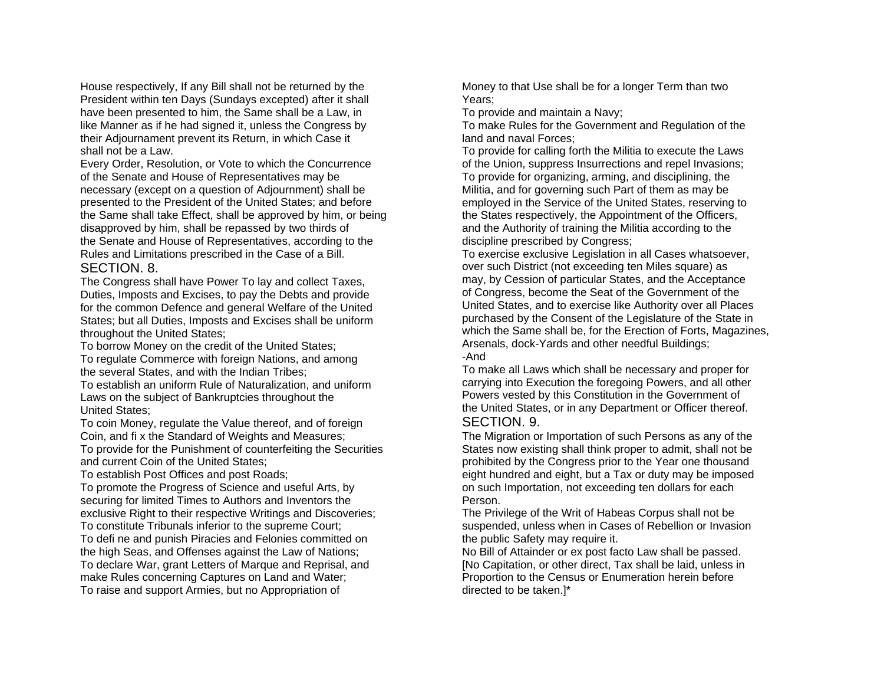House respectively, If any Bill shall not be returned by the President within ten Days (Sundays excepted) after it shall have been presented to him, the Same shall be a Law, in like Manner as if he had signed it, unless the Congress by their Adjournament prevent its Return, in which Case it shall not be a Law.

Every Order, Resolution, or Vote to which the Concurrence of the Senate and House of Representatives may be necessary (except on a question of Adjournment) shall be presented to the President of the United States; and before the Same shall take Effect, shall be approved by him, or being disapproved by him, shall be repassed by two thirds of the Senate and House of Representatives, according to the Rules and Limitations prescribed in the Case of a Bill. SECTION. 8.

The Congress shall have Power To lay and collect Taxes, Duties, Imposts and Excises, to pay the Debts and provide for the common Defence and general Welfare of the United States; but all Duties, Imposts and Excises shall be uniform throughout the United States;

To borrow Money on the credit of the United States; To regulate Commerce with foreign Nations, and among the several States, and with the Indian Tribes; To establish an uniform Rule of Naturalization, and uniform Laws on the subject of Bankruptcies throughout the

United States; To coin Money, regulate the Value thereof, and of foreign Coin, and fi x the Standard of Weights and Measures;

To provide for the Punishment of counterfeiting the Securities and current Coin of the United States;

To establish Post Offices and post Roads;

To promote the Progress of Science and useful Arts, by securing for limited Times to Authors and Inventors the exclusive Right to their respective Writings and Discoveries;

To constitute Tribunals inferior to the supreme Court;

To defi ne and punish Piracies and Felonies committed on the high Seas, and Offenses against the Law of Nations;

To declare War, grant Letters of Marque and Reprisal, and make Rules concerning Captures on Land and Water;

To raise and support Armies, but no Appropriation of

Money to that Use shall be for a longer Term than two Years;

To provide and maintain a Navy;

To make Rules for the Government and Regulation of the land and naval Forces;

To provide for calling forth the Militia to execute the Laws of the Union, suppress Insurrections and repel Invasions; To provide for organizing, arming, and disciplining, the Militia, and for governing such Part of them as may be employed in the Service of the United States, reserving to the States respectively, the Appointment of the Officers, and the Authority of training the Militia according to the discipline prescribed by Congress;

To exercise exclusive Legislation in all Cases whatsoever, over such District (not exceeding ten Miles square) as may, by Cession of particular States, and the Acceptance of Congress, become the Seat of the Government of the United States, and to exercise like Authority over all Places purchased by the Consent of the Legislature of the State in which the Same shall be, for the Erection of Forts, Magazines, Arsenals, dock-Yards and other needful Buildings; -And

To make all Laws which shall be necessary and proper for carrying into Execution the foregoing Powers, and all other Powers vested by this Constitution in the Government of the United States, or in any Department or Officer thereof. SECTION. 9.

The Migration or Importation of such Persons as any of the States now existing shall think proper to admit, shall not be prohibited by the Congress prior to the Year one thousand eight hundred and eight, but a Tax or duty may be imposed on such Importation, not exceeding ten dollars for each Person.

The Privilege of the Writ of Habeas Corpus shall not be suspended, unless when in Cases of Rebellion or Invasion the public Safety may require it.

No Bill of Attainder or ex post facto Law shall be passed. [No Capitation, or other direct, Tax shall be laid, unless in Proportion to the Census or Enumeration herein before directed to be taken.]\*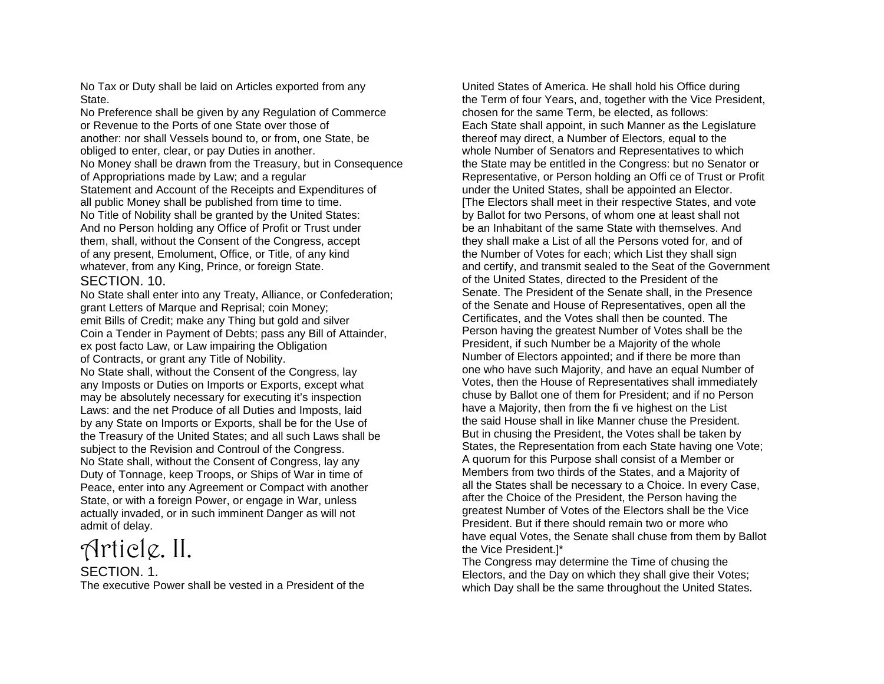No Tax or Duty shall be laid on Articles exported from any State.

No Preference shall be given by any Regulation of Commerce or Revenue to the Ports of one State over those of another: nor shall Vessels bound to, or from, one State, be obliged to enter, clear, or pay Duties in another. No Money shall be drawn from the Treasury, but in Consequence of Appropriations made by Law; and a regular Statement and Account of the Receipts and Expenditures of all public Money shall be published from time to time. No Title of Nobility shall be granted by the United States: And no Person holding any Office of Profit or Trust under them, shall, without the Consent of the Congress, accept of any present, Emolument, Office, or Title, of any kind whatever, from any King, Prince, or foreign State. SECTION. 10.

No State shall enter into any Treaty, Alliance, or Confederation; grant Letters of Marque and Reprisal; coin Money; emit Bills of Credit; make any Thing but gold and silver Coin a Tender in Payment of Debts; pass any Bill of Attainder, ex post facto Law, or Law impairing the Obligation of Contracts, or grant any Title of Nobility.

No State shall, without the Consent of the Congress, lay any Imposts or Duties on Imports or Exports, except what may be absolutely necessary for executing it's inspection Laws: and the net Produce of all Duties and Imposts, laid by any State on Imports or Exports, shall be for the Use of the Treasury of the United States; and all such Laws shall be subject to the Revision and Controul of the Congress. No State shall, without the Consent of Congress, lay any Duty of Tonnage, keep Troops, or Ships of War in time of Peace, enter into any Agreement or Compact with another State, or with a foreign Power, or engage in War, unless actually invaded, or in such imminent Danger as will not admit of delay.

### Article. II. SECTION. 1.

The executive Power shall be vested in a President of the

United States of America. He shall hold his Office during the Term of four Years, and, together with the Vice President, chosen for the same Term, be elected, as follows: Each State shall appoint, in such Manner as the Legislature thereof may direct, a Number of Electors, equal to the whole Number of Senators and Representatives to which the State may be entitled in the Congress: but no Senator or Representative, or Person holding an Offi ce of Trust or Profit under the United States, shall be appointed an Elector. [The Electors shall meet in their respective States, and vote by Ballot for two Persons, of whom one at least shall not be an Inhabitant of the same State with themselves. And they shall make a List of all the Persons voted for, and of the Number of Votes for each; which List they shall sign and certify, and transmit sealed to the Seat of the Government of the United States, directed to the President of the Senate. The President of the Senate shall, in the Presence of the Senate and House of Representatives, open all the Certificates, and the Votes shall then be counted. The Person having the greatest Number of Votes shall be the President, if such Number be a Majority of the whole Number of Electors appointed; and if there be more than one who have such Majority, and have an equal Number of Votes, then the House of Representatives shall immediately chuse by Ballot one of them for President; and if no Person have a Majority, then from the fi ve highest on the List the said House shall in like Manner chuse the President. But in chusing the President, the Votes shall be taken by States, the Representation from each State having one Vote; A quorum for this Purpose shall consist of a Member or Members from two thirds of the States, and a Majority of all the States shall be necessary to a Choice. In every Case, after the Choice of the President, the Person having the greatest Number of Votes of the Electors shall be the Vice President. But if there should remain two or more who have equal Votes, the Senate shall chuse from them by Ballot the Vice President.]\*

The Congress may determine the Time of chusing the Electors, and the Day on which they shall give their Votes; which Day shall be the same throughout the United States.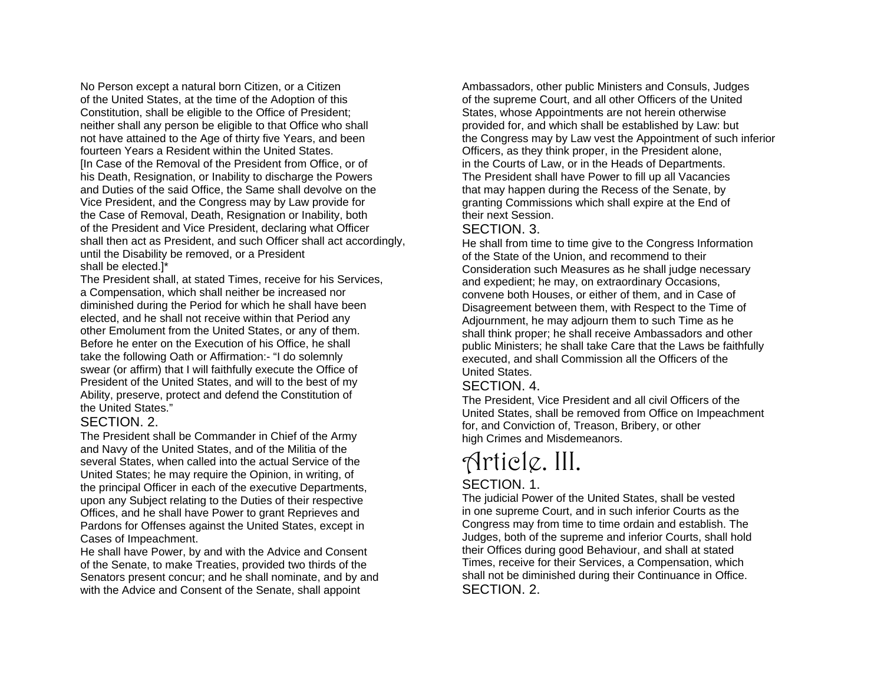No Person except a natural born Citizen, or a Citizen of the United States, at the time of the Adoption of this Constitution, shall be eligible to the Office of President; neither shall any person be eligible to that Office who shall not have attained to the Age of thirty five Years, and been fourteen Years a Resident within the United States. [In Case of the Removal of the President from Office, or of his Death, Resignation, or Inability to discharge the Powers and Duties of the said Office, the Same shall devolve on the Vice President, and the Congress may by Law provide for the Case of Removal, Death, Resignation or Inability, both of the President and Vice President, declaring what Officer shall then act as President, and such Officer shall act accordingly, until the Disability be removed, or a President shall be elected.]\*

The President shall, at stated Times, receive for his Services, a Compensation, which shall neither be increased nor diminished during the Period for which he shall have been elected, and he shall not receive within that Period any other Emolument from the United States, or any of them. Before he enter on the Execution of his Office, he shall take the following Oath or Affirmation:- "I do solemnly swear (or affirm) that I will faithfully execute the Office of President of the United States, and will to the best of my Ability, preserve, protect and defend the Constitution of the United States."

#### SECTION. 2.

The President shall be Commander in Chief of the Army and Navy of the United States, and of the Militia of the several States, when called into the actual Service of the United States; he may require the Opinion, in writing, of the principal Officer in each of the executive Departments, upon any Subject relating to the Duties of their respective Offices, and he shall have Power to grant Reprieves and Pardons for Offenses against the United States, except in Cases of Impeachment.

He shall have Power, by and with the Advice and Consent of the Senate, to make Treaties, provided two thirds of the Senators present concur; and he shall nominate, and by and with the Advice and Consent of the Senate, shall appoint

Ambassadors, other public Ministers and Consuls, Judges of the supreme Court, and all other Officers of the United States, whose Appointments are not herein otherwise provided for, and which shall be established by Law: but the Congress may by Law vest the Appointment of such inferior Officers, as they think proper, in the President alone, in the Courts of Law, or in the Heads of Departments. The President shall have Power to fill up all Vacancies that may happen during the Recess of the Senate, by granting Commissions which shall expire at the End of their next Session.

#### SECTION. 3.

He shall from time to time give to the Congress Information of the State of the Union, and recommend to their Consideration such Measures as he shall judge necessary and expedient; he may, on extraordinary Occasions, convene both Houses, or either of them, and in Case of Disagreement between them, with Respect to the Time of Adjournment, he may adjourn them to such Time as he shall think proper; he shall receive Ambassadors and other public Ministers; he shall take Care that the Laws be faithfully executed, and shall Commission all the Officers of the United States.

#### SECTION. 4.

The President, Vice President and all civil Officers of the United States, shall be removed from Office on Impeachment for, and Conviction of, Treason, Bribery, or other high Crimes and Misdemeanors.

### Article. III. SECTION. 1.

The judicial Power of the United States, shall be vested in one supreme Court, and in such inferior Courts as the Congress may from time to time ordain and establish. The Judges, both of the supreme and inferior Courts, shall hold their Offices during good Behaviour, and shall at stated Times, receive for their Services, a Compensation, which shall not be diminished during their Continuance in Office. SECTION. 2.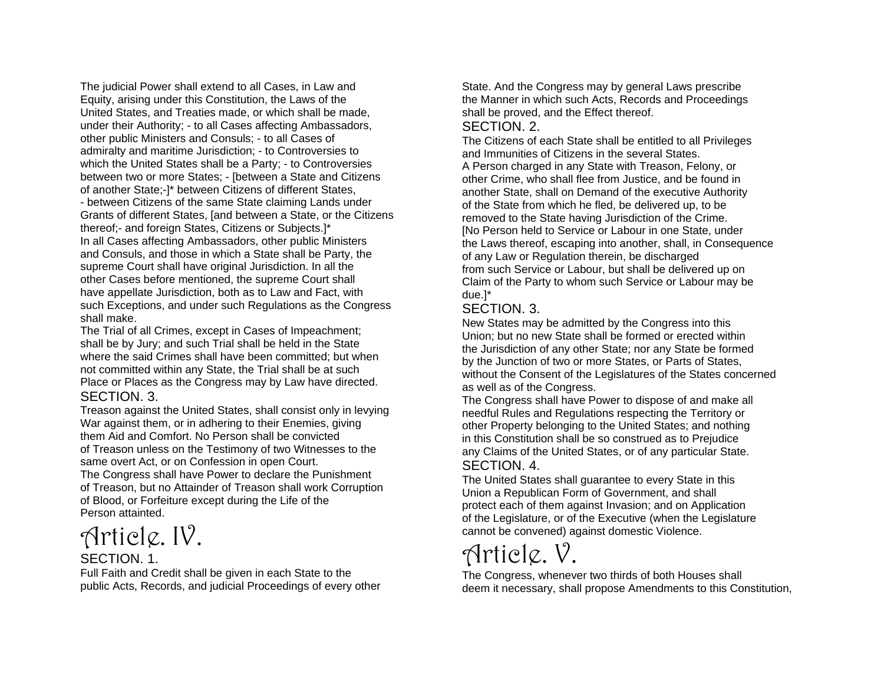The judicial Power shall extend to all Cases, in Law and Equity, arising under this Constitution, the Laws of the United States, and Treaties made, or which shall be made, under their Authority; - to all Cases affecting Ambassadors, other public Ministers and Consuls; - to all Cases of admiralty and maritime Jurisdiction; - to Controversies to which the United States shall be a Party; - to Controversies between two or more States; - [between a State and Citizens of another State;-]\* between Citizens of different States, - between Citizens of the same State claiming Lands under Grants of different States, [and between a State, or the Citizens thereof;- and foreign States, Citizens or Subjects.]\* In all Cases affecting Ambassadors, other public Ministers and Consuls, and those in which a State shall be Party, the supreme Court shall have original Jurisdiction. In all the other Cases before mentioned, the supreme Court shall have appellate Jurisdiction, both as to Law and Fact, with such Exceptions, and under such Regulations as the Congress shall make.

The Trial of all Crimes, except in Cases of Impeachment; shall be by Jury; and such Trial shall be held in the State where the said Crimes shall have been committed; but when not committed within any State, the Trial shall be at such Place or Places as the Congress may by Law have directed. SECTION. 3.

Treason against the United States, shall consist only in levying War against them, or in adhering to their Enemies, giving them Aid and Comfort. No Person shall be convicted of Treason unless on the Testimony of two Witnesses to the same overt Act, or on Confession in open Court.

The Congress shall have Power to declare the Punishment of Treason, but no Attainder of Treason shall work Corruption of Blood, or Forfeiture except during the Life of the Person attainted.

# Article. IV.

#### SECTION. 1.

Full Faith and Credit shall be given in each State to the public Acts, Records, and judicial Proceedings of every other

State. And the Congress may by general Laws prescribe the Manner in which such Acts, Records and Proceedings shall be proved, and the Effect thereof.

#### SECTION. 2.

The Citizens of each State shall be entitled to all Privileges and Immunities of Citizens in the several States. A Person charged in any State with Treason, Felony, or other Crime, who shall flee from Justice, and be found in another State, shall on Demand of the executive Authority of the State from which he fled, be delivered up, to be removed to the State having Jurisdiction of the Crime. [No Person held to Service or Labour in one State, under the Laws thereof, escaping into another, shall, in Consequence of any Law or Regulation therein, be discharged from such Service or Labour, but shall be delivered up on Claim of the Party to whom such Service or Labour may be due.]\*

#### SECTION. 3.

New States may be admitted by the Congress into this Union; but no new State shall be formed or erected within the Jurisdiction of any other State; nor any State be formed by the Junction of two or more States, or Parts of States, without the Consent of the Legislatures of the States concerned as well as of the Congress.

The Congress shall have Power to dispose of and make all needful Rules and Regulations respecting the Territory or other Property belonging to the United States; and nothing in this Constitution shall be so construed as to Prejudice any Claims of the United States, or of any particular State. SECTION. 4.

The United States shall guarantee to every State in this Union a Republican Form of Government, and shall protect each of them against Invasion; and on Application of the Legislature, or of the Executive (when the Legislature cannot be convened) against domestic Violence.

# Article. V.

The Congress, whenever two thirds of both Houses shall deem it necessary, shall propose Amendments to this Constitution,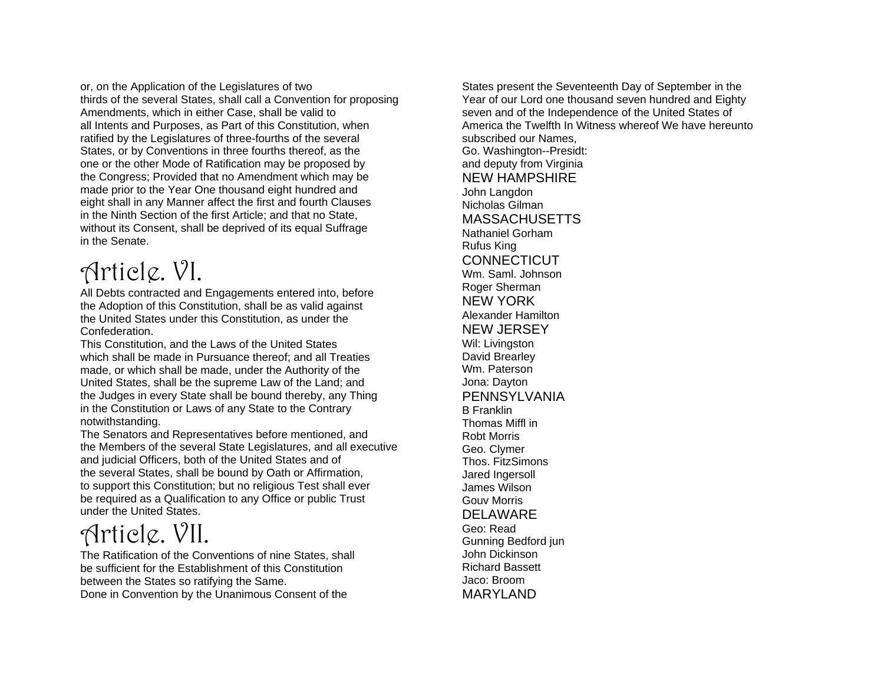or, on the Application of the Legislatures of two thirds of the several States, shall call a Convention for proposing Amendments, which in either Case, shall be valid to all Intents and Purposes, as Part of this Constitution, when ratified by the Legislatures of three-fourths of the several States, or by Conventions in three fourths thereof, as the one or the other Mode of Ratification may be proposed by the Congress; Provided that no Amendment which may be made prior to the Year One thousand eight hundred and eight shall in any Manner affect the first and fourth Clauses in the Ninth Section of the first Article; and that no State, without its Consent, shall be deprived of its equal Suffrage in the Senate.

# Article. VI.

All Debts contracted and Engagements entered into, before the Adoption of this Constitution, shall be as valid against the United States under this Constitution, as under the Confederation.

This Constitution, and the Laws of the United States which shall be made in Pursuance thereof; and all Treaties made, or which shall be made, under the Authority of the United States, shall be the supreme Law of the Land; and the Judges in every State shall be bound thereby, any Thing in the Constitution or Laws of any State to the Contrary notwithstanding.

The Senators and Representatives before mentioned, and the Members of the several State Legislatures, and all executive and judicial Officers, both of the United States and of the several States, shall be bound by Oath or Affirmation, to support this Constitution; but no religious Test shall ever be required as a Qualification to any Office or public Trust under the United States.

# Article. VII.

The Ratification of the Conventions of nine States, shall be sufficient for the Establishment of this Constitution between the States so ratifying the Same. Done in Convention by the Unanimous Consent of the

States present the Seventeenth Day of September in the Year of our Lord one thousand seven hundred and Eighty seven and of the Independence of the United States of America the Twelfth In Witness whereof We have hereunto subscribed our Names, Go. Washington--Presidt: and deputy from Virginia NEW HAMPSHIRE John Langdon Nicholas Gilman MASSACHUSETTS Nathaniel Gorham Rufus King CONNECTICUT Wm. Saml. Johnson Roger Sherman NEW YORK Alexander Hamilton NEW JERSEY Wil: Livingston David Brearley Wm. Paterson Jona: Dayton PENNSYLVANIA B Franklin Thomas Miffl in Robt Morris Geo. Clymer Thos. FitzSimons Jared Ingersoll James Wilson Gouv Morris DELAWARE Geo: Read Gunning Bedford jun John Dickinson Richard Bassett Jaco: Broom MARYLAND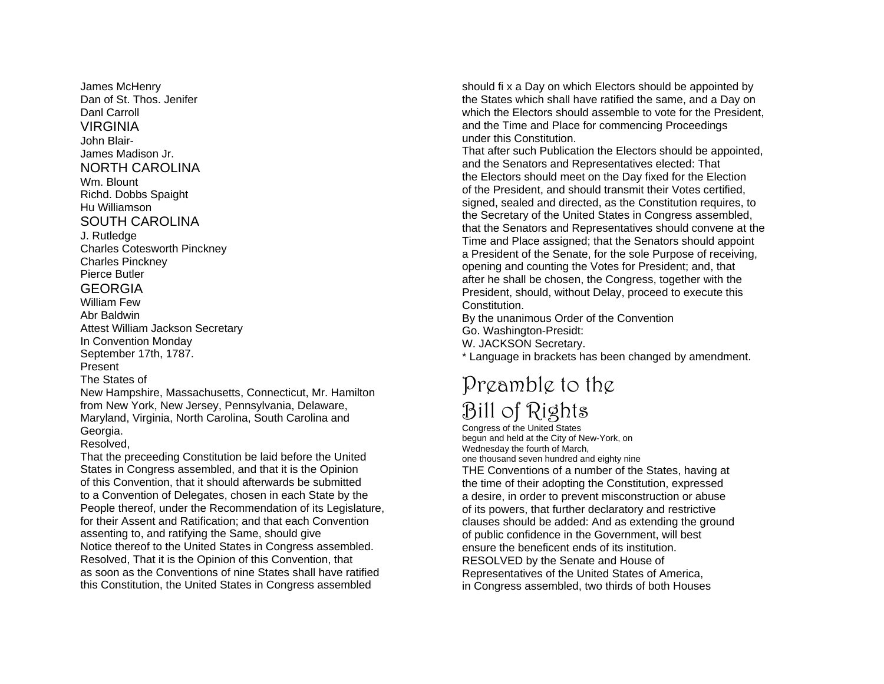James McHenry Dan of St. Thos. Jenifer Danl Carroll VIRGINIA John Blair-James Madison Jr. NORTH CAROLINA Wm. Blount Richd. Dobbs Spaight Hu Williamson SOUTH CAROLINA J. Rutledge Charles Cotesworth Pinckney Charles Pinckney Pierce Butler GEORGIA William Few Abr Baldwin Attest William Jackson Secretary In Convention Monday September 17th, 1787. Present The States of New Hampshire, Massachusetts, Connecticut, Mr. Hamilton from New York, New Jersey, Pennsylvania, Delaware, Maryland, Virginia, North Carolina, South Carolina and Georgia. Resolved,

That the preceeding Constitution be laid before the United States in Congress assembled, and that it is the Opinion of this Convention, that it should afterwards be submitted to a Convention of Delegates, chosen in each State by the People thereof, under the Recommendation of its Legislature, for their Assent and Ratification; and that each Convention assenting to, and ratifying the Same, should give Notice thereof to the United States in Congress assembled. Resolved, That it is the Opinion of this Convention, that as soon as the Conventions of nine States shall have ratified this Constitution, the United States in Congress assembled

should fi x a Day on which Electors should be appointed by the States which shall have ratified the same, and a Day on which the Electors should assemble to vote for the President, and the Time and Place for commencing Proceedings under this Constitution.

That after such Publication the Electors should be appointed, and the Senators and Representatives elected: That the Electors should meet on the Day fixed for the Election of the President, and should transmit their Votes certified, signed, sealed and directed, as the Constitution requires, to the Secretary of the United States in Congress assembled, that the Senators and Representatives should convene at the Time and Place assigned; that the Senators should appoint a President of the Senate, for the sole Purpose of receiving, opening and counting the Votes for President; and, that after he shall be chosen, the Congress, together with the President, should, without Delay, proceed to execute this Constitution.

By the unanimous Order of the Convention

Go. Washington-Presidt:

W. JACKSON Secretary.

\* Language in brackets has been changed by amendment.

### Preamble to the Bill of Rights

Congress of the United States begun and held at the City of New-York, on Wednesday the fourth of March, one thousand seven hundred and eighty nine THE Conventions of a number of the States, having at the time of their adopting the Constitution, expressed a desire, in order to prevent misconstruction or abuse of its powers, that further declaratory and restrictive clauses should be added: And as extending the ground of public confidence in the Government, will best ensure the beneficent ends of its institution. RESOLVED by the Senate and House of Representatives of the United States of America, in Congress assembled, two thirds of both Houses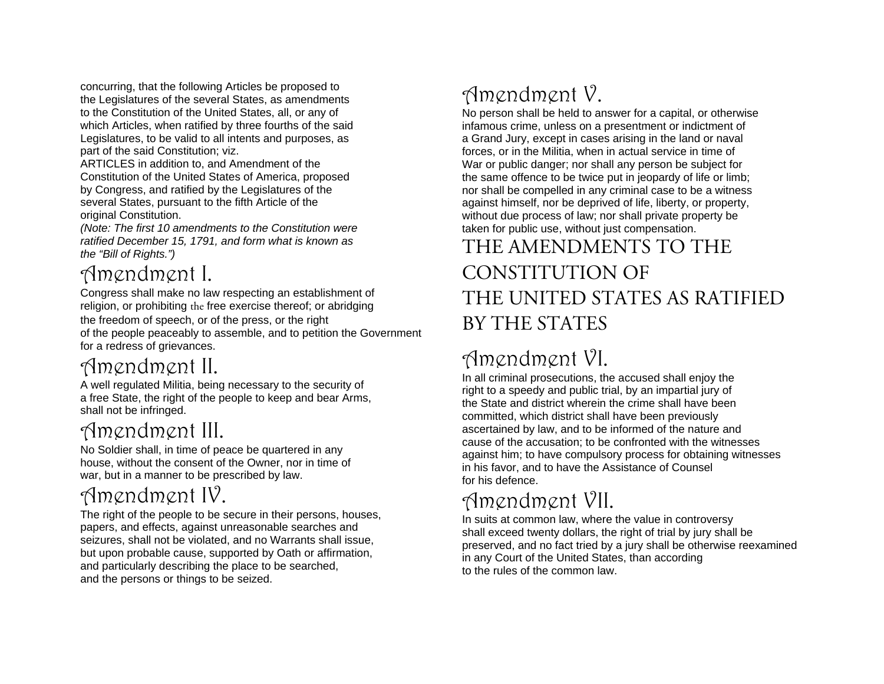concurring, that the following Articles be proposed to the Legislatures of the several States, as amendments to the Constitution of the United States, all, or any of which Articles, when ratified by three fourths of the said Legislatures, to be valid to all intents and purposes, as part of the said Constitution; viz.

ARTICLES in addition to, and Amendment of the Constitution of the United States of America, proposed by Congress, and ratified by the Legislatures of the several States, pursuant to the fifth Article of the original Constitution.

*(Note: The first 10 amendments to the Constitution were ratified December 15, 1791, and form what is known as the "Bill of Rights.")* 

### Amendment I.

Congress shall make no law respecting an establishment of religion, or prohibiting the free exercise thereof; or abridging the freedom of speech, or of the press, or the right of the people peaceably to assemble, and to petition the Government for a redress of grievances.

### Amendment II.

A well regulated Militia, being necessary to the security of a free State, the right of the people to keep and bear Arms, shall not be infringed.

## Amendment III.

No Soldier shall, in time of peace be quartered in any house, without the consent of the Owner, nor in time of war, but in a manner to be prescribed by law.

# Amendment IV.

The right of the people to be secure in their persons, houses, papers, and effects, against unreasonable searches and seizures, shall not be violated, and no Warrants shall issue, but upon probable cause, supported by Oath or affirmation, and particularly describing the place to be searched, and the persons or things to be seized.

# Amendment V.

No person shall be held to answer for a capital, or otherwise infamous crime, unless on a presentment or indictment of a Grand Jury, except in cases arising in the land or naval forces, or in the Militia, when in actual service in time of War or public danger; nor shall any person be subject for the same offence to be twice put in jeopardy of life or limb; nor shall be compelled in any criminal case to be a witness against himself, nor be deprived of life, liberty, or property, without due process of law; nor shall private property be taken for public use, without just compensation.

### THE AMENDMENTS TO THE CONSTITUTION OF THE UNITED STATES AS RATIFIED BY THE STATES

## Amendment VI.

In all criminal prosecutions, the accused shall enjoy the right to a speedy and public trial, by an impartial jury of the State and district wherein the crime shall have been committed, which district shall have been previously ascertained by law, and to be informed of the nature and cause of the accusation; to be confronted with the witnesses against him; to have compulsory process for obtaining witnesses in his favor, and to have the Assistance of Counsel for his defence.

## Amendment VII.

In suits at common law, where the value in controversy shall exceed twenty dollars, the right of trial by jury shall be preserved, and no fact tried by a jury shall be otherwise reexamined in any Court of the United States, than according to the rules of the common law.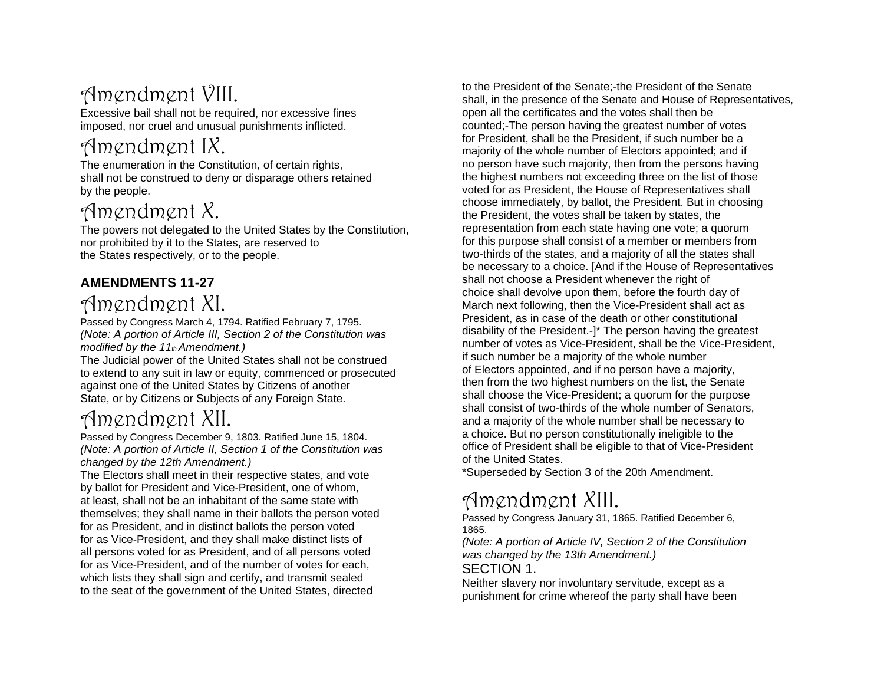## Amendment VIII.

Excessive bail shall not be required, nor excessive fines imposed, nor cruel and unusual punishments inflicted.

## Amendment IX.

The enumeration in the Constitution, of certain rights, shall not be construed to deny or disparage others retained by the people.

### Amendment X.

The powers not delegated to the United States by the Constitution, nor prohibited by it to the States, are reserved to the States respectively, or to the people.

### **AMENDMENTS 11-27** Amendment XI.

Passed by Congress March 4, 1794. Ratified February 7, 1795. *(Note: A portion of Article III, Section 2 of the Constitution was modified by the 11th Amendment.)* 

The Judicial power of the United States shall not be construed to extend to any suit in law or equity, commenced or prosecuted against one of the United States by Citizens of another State, or by Citizens or Subjects of any Foreign State.

## Amendment XII.

Passed by Congress December 9, 1803. Ratified June 15, 1804. *(Note: A portion of Article II, Section 1 of the Constitution was changed by the 12th Amendment.)* 

The Electors shall meet in their respective states, and vote by ballot for President and Vice-President, one of whom, at least, shall not be an inhabitant of the same state with themselves; they shall name in their ballots the person voted for as President, and in distinct ballots the person voted for as Vice-President, and they shall make distinct lists of all persons voted for as President, and of all persons voted for as Vice-President, and of the number of votes for each, which lists they shall sign and certify, and transmit sealed to the seat of the government of the United States, directed

to the President of the Senate;-the President of the Senate shall, in the presence of the Senate and House of Representatives, open all the certificates and the votes shall then be counted;-The person having the greatest number of votes for President, shall be the President, if such number be a majority of the whole number of Electors appointed; and if no person have such majority, then from the persons having the highest numbers not exceeding three on the list of those voted for as President, the House of Representatives shall choose immediately, by ballot, the President. But in choosing the President, the votes shall be taken by states, the representation from each state having one vote; a quorum for this purpose shall consist of a member or members from two-thirds of the states, and a majority of all the states shall be necessary to a choice. [And if the House of Representatives shall not choose a President whenever the right of choice shall devolve upon them, before the fourth day of March next following, then the Vice-President shall act as President, as in case of the death or other constitutional disability of the President.-]\* The person having the greatest number of votes as Vice-President, shall be the Vice-President, if such number be a majority of the whole number of Electors appointed, and if no person have a majority, then from the two highest numbers on the list, the Senate shall choose the Vice-President; a quorum for the purpose shall consist of two-thirds of the whole number of Senators, and a majority of the whole number shall be necessary to a choice. But no person constitutionally ineligible to the office of President shall be eligible to that of Vice-President of the United States.

\*Superseded by Section 3 of the 20th Amendment.

### Amendment XIII.

Passed by Congress January 31, 1865. Ratified December 6, 1865.

*(Note: A portion of Article IV, Section 2 of the Constitution was changed by the 13th Amendment.)* 

#### SECTION 1.

Neither slavery nor involuntary servitude, except as a punishment for crime whereof the party shall have been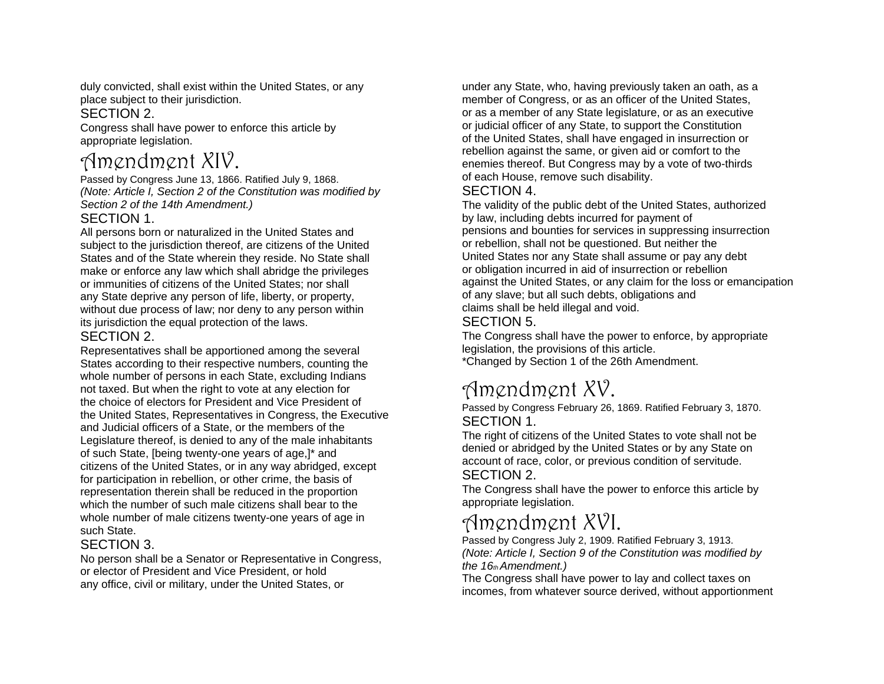duly convicted, shall exist within the United States, or any place subject to their jurisdiction.

#### SECTION 2.

Congress shall have power to enforce this article by appropriate legislation.

### Amendment XIV.

Passed by Congress June 13, 1866. Ratified July 9, 1868. *(Note: Article I, Section 2 of the Constitution was modified by Section 2 of the 14th Amendment.)*  SECTION 1.

All persons born or naturalized in the United States and subject to the jurisdiction thereof, are citizens of the United States and of the State wherein they reside. No State shall make or enforce any law which shall abridge the privileges or immunities of citizens of the United States; nor shall any State deprive any person of life, liberty, or property, without due process of law; nor deny to any person within its jurisdiction the equal protection of the laws. SECTION 2.

Representatives shall be apportioned among the several States according to their respective numbers, counting the whole number of persons in each State, excluding Indians not taxed. But when the right to vote at any election for the choice of electors for President and Vice President of the United States, Representatives in Congress, the Executive and Judicial officers of a State, or the members of the Legislature thereof, is denied to any of the male inhabitants of such State, [being twenty-one years of age,]\* and citizens of the United States, or in any way abridged, except for participation in rebellion, or other crime, the basis of representation therein shall be reduced in the proportion which the number of such male citizens shall bear to the whole number of male citizens twenty-one years of age in such State.

#### SECTION 3.

No person shall be a Senator or Representative in Congress, or elector of President and Vice President, or hold any office, civil or military, under the United States, or

under any State, who, having previously taken an oath, as a member of Congress, or as an officer of the United States, or as a member of any State legislature, or as an executive or judicial officer of any State, to support the Constitution of the United States, shall have engaged in insurrection or rebellion against the same, or given aid or comfort to the enemies thereof. But Congress may by a vote of two-thirds of each House, remove such disability.

#### SECTION 4.

The validity of the public debt of the United States, authorized by law, including debts incurred for payment of pensions and bounties for services in suppressing insurrection or rebellion, shall not be questioned. But neither the United States nor any State shall assume or pay any debt or obligation incurred in aid of insurrection or rebellion against the United States, or any claim for the loss or emancipation of any slave; but all such debts, obligations and claims shall be held illegal and void.

#### SECTION 5.

The Congress shall have the power to enforce, by appropriate legislation, the provisions of this article. \*Changed by Section 1 of the 26th Amendment.

### Amendment XV.

Passed by Congress February 26, 1869. Ratified February 3, 1870. SECTION 1.

The right of citizens of the United States to vote shall not be denied or abridged by the United States or by any State on account of race, color, or previous condition of servitude.

#### SECTION 2.

The Congress shall have the power to enforce this article by appropriate legislation.

## Amendment XVI.

Passed by Congress July 2, 1909. Ratified February 3, 1913. *(Note: Article I, Section 9 of the Constitution was modified by the 16th Amendment.)* 

The Congress shall have power to lay and collect taxes on incomes, from whatever source derived, without apportionment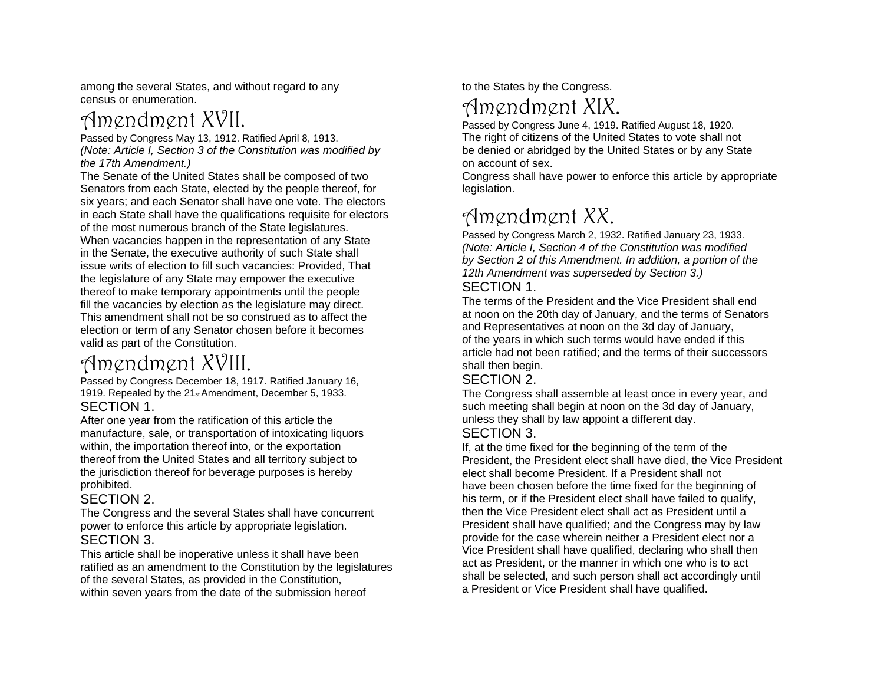among the several States, and without regard to any census or enumeration.

### Amendment XVII.

Passed by Congress May 13, 1912. Ratified April 8, 1913. *(Note: Article I, Section 3 of the Constitution was modified by the 17th Amendment.)* 

The Senate of the United States shall be composed of two Senators from each State, elected by the people thereof, for six years; and each Senator shall have one vote. The electors in each State shall have the qualifications requisite for electors of the most numerous branch of the State legislatures. When vacancies happen in the representation of any State in the Senate, the executive authority of such State shall issue writs of election to fill such vacancies: Provided, That the legislature of any State may empower the executive thereof to make temporary appointments until the people fill the vacancies by election as the legislature may direct. This amendment shall not be so construed as to affect the election or term of any Senator chosen before it becomes valid as part of the Constitution.

### Amendment XVIII.

Passed by Congress December 18, 1917. Ratified January 16, 1919. Repealed by the 21st Amendment, December 5, 1933. SECTION 1.

After one year from the ratification of this article the manufacture, sale, or transportation of intoxicating liquors within, the importation thereof into, or the exportation thereof from the United States and all territory subject to the jurisdiction thereof for beverage purposes is hereby prohibited.

#### SECTION 2.

The Congress and the several States shall have concurrent power to enforce this article by appropriate legislation. SECTION 3.

This article shall be inoperative unless it shall have been ratified as an amendment to the Constitution by the legislatures of the several States, as provided in the Constitution, within seven years from the date of the submission hereof

to the States by the Congress.

### Amendment XIX.

Passed by Congress June 4, 1919. Ratified August 18, 1920. The right of citizens of the United States to vote shall not be denied or abridged by the United States or by any State on account of sex.

Congress shall have power to enforce this article by appropriate legislation.

## Amendment XX.

Passed by Congress March 2, 1932. Ratified January 23, 1933. *(Note: Article I, Section 4 of the Constitution was modified by Section 2 of this Amendment. In addition, a portion of the 12th Amendment was superseded by Section 3.)*  SECTION 1.

The terms of the President and the Vice President shall end at noon on the 20th day of January, and the terms of Senators and Representatives at noon on the 3d day of January, of the years in which such terms would have ended if this article had not been ratified; and the terms of their successors shall then begin.

#### SECTION 2.

The Congress shall assemble at least once in every year, and such meeting shall begin at noon on the 3d day of January, unless they shall by law appoint a different day.

#### SECTION 3.

If, at the time fixed for the beginning of the term of the President, the President elect shall have died, the Vice President elect shall become President. If a President shall not have been chosen before the time fixed for the beginning of his term, or if the President elect shall have failed to qualify. then the Vice President elect shall act as President until a President shall have qualified; and the Congress may by law provide for the case wherein neither a President elect nor a Vice President shall have qualified, declaring who shall then act as President, or the manner in which one who is to act shall be selected, and such person shall act accordingly until a President or Vice President shall have qualified.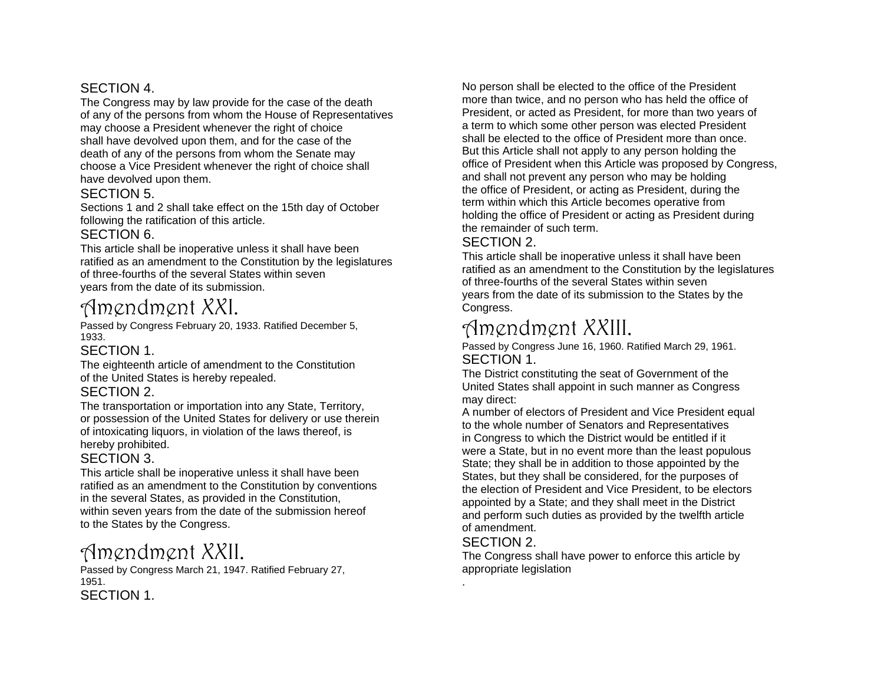#### SECTION 4.

The Congress may by law provide for the case of the death of any of the persons from whom the House of Representatives may choose a President whenever the right of choice shall have devolved upon them, and for the case of the death of any of the persons from whom the Senate may choose a Vice President whenever the right of choice shall have devolved upon them.

#### SECTION 5.

Sections 1 and 2 shall take effect on the 15th day of October following the ratification of this article.

#### SECTION 6.

This article shall be inoperative unless it shall have been ratified as an amendment to the Constitution by the legislatures of three-fourths of the several States within seven years from the date of its submission.

### Amendment XXI.

Passed by Congress February 20, 1933. Ratified December 5, 1933.

#### SECTION 1.

The eighteenth article of amendment to the Constitution of the United States is hereby repealed. SECTION 2.

The transportation or importation into any State, Territory, or possession of the United States for delivery or use therein of intoxicating liquors, in violation of the laws thereof, is

#### hereby prohibited.

#### SECTION 3.

This article shall be inoperative unless it shall have been ratified as an amendment to the Constitution by conventions in the several States, as provided in the Constitution, within seven years from the date of the submission hereof to the States by the Congress.

### Amendment XXII.

Passed by Congress March 21, 1947. Ratified February 27, 1951. SECTION 1.

No person shall be elected to the office of the President more than twice, and no person who has held the office of President, or acted as President, for more than two years of a term to which some other person was elected President shall be elected to the office of President more than once. But this Article shall not apply to any person holding the office of President when this Article was proposed by Congress, and shall not prevent any person who may be holding the office of President, or acting as President, during the term within which this Article becomes operative from holding the office of President or acting as President during the remainder of such term.

#### SECTION 2.

This article shall be inoperative unless it shall have been ratified as an amendment to the Constitution by the legislatures of three-fourths of the several States within seven years from the date of its submission to the States by the Congress.

### Amendment XXIII.

Passed by Congress June 16, 1960. Ratified March 29, 1961. SECTION 1.

The District constituting the seat of Government of the United States shall appoint in such manner as Congress may direct:

A number of electors of President and Vice President equal to the whole number of Senators and Representatives in Congress to which the District would be entitled if it were a State, but in no event more than the least populous State; they shall be in addition to those appointed by the States, but they shall be considered, for the purposes of the election of President and Vice President, to be electors appointed by a State; and they shall meet in the District and perform such duties as provided by the twelfth article of amendment.

#### SECTION 2.

.

The Congress shall have power to enforce this article by appropriate legislation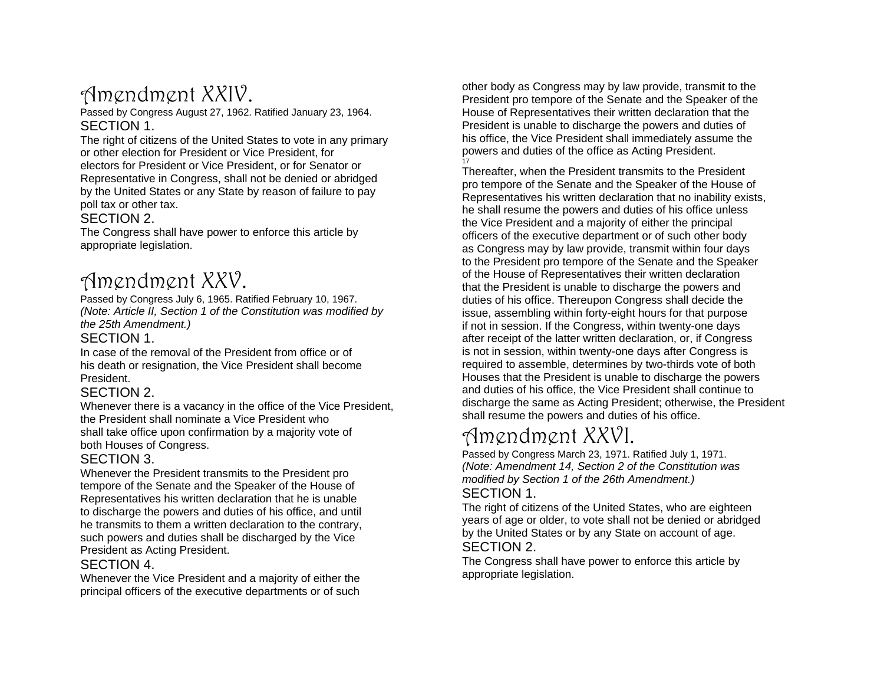### Amendment XXIV.

#### Passed by Congress August 27, 1962. Ratified January 23, 1964. SECTION 1.

The right of citizens of the United States to vote in any primary or other election for President or Vice President, for electors for President or Vice President, or for Senator or Representative in Congress, shall not be denied or abridged by the United States or any State by reason of failure to pay poll tax or other tax.

#### SECTION 2.

The Congress shall have power to enforce this article by appropriate legislation.

## Amendment XXV.

Passed by Congress July 6, 1965. Ratified February 10, 1967. *(Note: Article II, Section 1 of the Constitution was modified by the 25th Amendment.)* 

#### SECTION 1.

In case of the removal of the President from office or of his death or resignation, the Vice President shall become President.

#### SECTION 2.

Whenever there is a vacancy in the office of the Vice President, the President shall nominate a Vice President who shall take office upon confirmation by a majority vote of both Houses of Congress.

#### SECTION 3.

Whenever the President transmits to the President pro tempore of the Senate and the Speaker of the House of Representatives his written declaration that he is unable to discharge the powers and duties of his office, and until he transmits to them a written declaration to the contrary, such powers and duties shall be discharged by the Vice President as Acting President.

#### SECTION 4.

Whenever the Vice President and a majority of either the principal officers of the executive departments or of such other body as Congress may by law provide, transmit to the President pro tempore of the Senate and the Speaker of the House of Representatives their written declaration that the President is unable to discharge the powers and duties of his office, the Vice President shall immediately assume the powers and duties of the office as Acting President. 17

Thereafter, when the President transmits to the President pro tempore of the Senate and the Speaker of the House of Representatives his written declaration that no inability exists, he shall resume the powers and duties of his office unless the Vice President and a majority of either the principal officers of the executive department or of such other body as Congress may by law provide, transmit within four days to the President pro tempore of the Senate and the Speaker of the House of Representatives their written declaration that the President is unable to discharge the powers and duties of his office. Thereupon Congress shall decide the issue, assembling within forty-eight hours for that purpose if not in session. If the Congress, within twenty-one days after receipt of the latter written declaration, or, if Congress is not in session, within twenty-one days after Congress is required to assemble, determines by two-thirds vote of both Houses that the President is unable to discharge the powers and duties of his office, the Vice President shall continue to discharge the same as Acting President; otherwise, the President shall resume the powers and duties of his office.

## Amendment XXVI.

Passed by Congress March 23, 1971. Ratified July 1, 1971. *(Note: Amendment 14, Section 2 of the Constitution was modified by Section 1 of the 26th Amendment.)*  SECTION 1.

The right of citizens of the United States, who are eighteen years of age or older, to vote shall not be denied or abridged by the United States or by any State on account of age. SECTION 2.

The Congress shall have power to enforce this article by appropriate legislation.